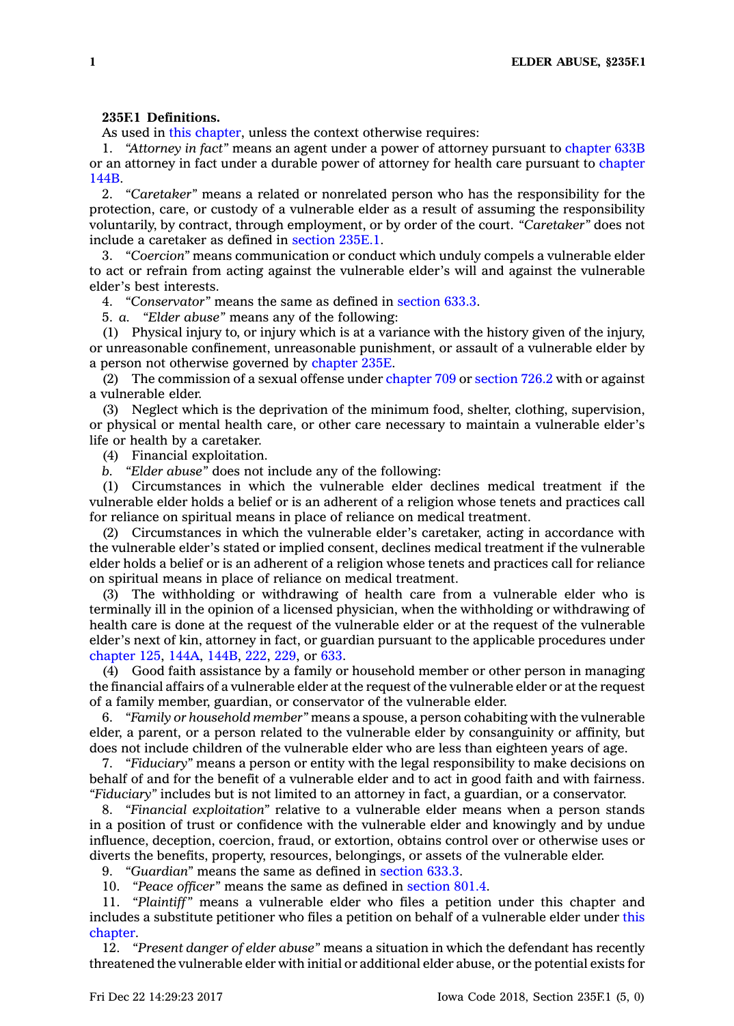## **235F.1 Definitions.**

As used in this [chapter](https://www.legis.iowa.gov/docs/code//235F.pdf), unless the context otherwise requires:

1. *"Attorney in fact"* means an agent under <sup>a</sup> power of attorney pursuant to [chapter](https://www.legis.iowa.gov/docs/code//633B.pdf) 633B or an attorney in fact under <sup>a</sup> durable power of attorney for health care pursuant to [chapter](https://www.legis.iowa.gov/docs/code//144B.pdf) [144B](https://www.legis.iowa.gov/docs/code//144B.pdf).

2. *"Caretaker"* means <sup>a</sup> related or nonrelated person who has the responsibility for the protection, care, or custody of <sup>a</sup> vulnerable elder as <sup>a</sup> result of assuming the responsibility voluntarily, by contract, through employment, or by order of the court. *"Caretaker"* does not include <sup>a</sup> caretaker as defined in [section](https://www.legis.iowa.gov/docs/code/235E.1.pdf) 235E.1.

3. *"Coercion"* means communication or conduct which unduly compels <sup>a</sup> vulnerable elder to act or refrain from acting against the vulnerable elder's will and against the vulnerable elder's best interests.

4. *"Conservator"* means the same as defined in [section](https://www.legis.iowa.gov/docs/code/633.3.pdf) 633.3.

5. *a. "Elder abuse"* means any of the following:

(1) Physical injury to, or injury which is at <sup>a</sup> variance with the history given of the injury, or unreasonable confinement, unreasonable punishment, or assault of <sup>a</sup> vulnerable elder by <sup>a</sup> person not otherwise governed by [chapter](https://www.legis.iowa.gov/docs/code//235E.pdf) 235E.

(2) The commission of <sup>a</sup> sexual offense under [chapter](https://www.legis.iowa.gov/docs/code//709.pdf) 709 or [section](https://www.legis.iowa.gov/docs/code/726.2.pdf) 726.2 with or against <sup>a</sup> vulnerable elder.

(3) Neglect which is the deprivation of the minimum food, shelter, clothing, supervision, or physical or mental health care, or other care necessary to maintain <sup>a</sup> vulnerable elder's life or health by <sup>a</sup> caretaker.

(4) Financial exploitation.

*b. "Elder abuse"* does not include any of the following:

(1) Circumstances in which the vulnerable elder declines medical treatment if the vulnerable elder holds <sup>a</sup> belief or is an adherent of <sup>a</sup> religion whose tenets and practices call for reliance on spiritual means in place of reliance on medical treatment.

(2) Circumstances in which the vulnerable elder's caretaker, acting in accordance with the vulnerable elder's stated or implied consent, declines medical treatment if the vulnerable elder holds <sup>a</sup> belief or is an adherent of <sup>a</sup> religion whose tenets and practices call for reliance on spiritual means in place of reliance on medical treatment.

(3) The withholding or withdrawing of health care from <sup>a</sup> vulnerable elder who is terminally ill in the opinion of <sup>a</sup> licensed physician, when the withholding or withdrawing of health care is done at the request of the vulnerable elder or at the request of the vulnerable elder's next of kin, attorney in fact, or guardian pursuant to the applicable procedures under [chapter](https://www.legis.iowa.gov/docs/code//125.pdf) 125, [144A](https://www.legis.iowa.gov/docs/code//144A.pdf), [144B](https://www.legis.iowa.gov/docs/code//144B.pdf), [222](https://www.legis.iowa.gov/docs/code//222.pdf), [229](https://www.legis.iowa.gov/docs/code//229.pdf), or [633](https://www.legis.iowa.gov/docs/code//633.pdf).

(4) Good faith assistance by <sup>a</sup> family or household member or other person in managing the financial affairs of <sup>a</sup> vulnerable elder at the request of the vulnerable elder or at the request of <sup>a</sup> family member, guardian, or conservator of the vulnerable elder.

6. *"Family or household member"* means <sup>a</sup> spouse, <sup>a</sup> person cohabiting with the vulnerable elder, <sup>a</sup> parent, or <sup>a</sup> person related to the vulnerable elder by consanguinity or affinity, but does not include children of the vulnerable elder who are less than eighteen years of age.

7. *"Fiduciary"* means <sup>a</sup> person or entity with the legal responsibility to make decisions on behalf of and for the benefit of <sup>a</sup> vulnerable elder and to act in good faith and with fairness. *"Fiduciary"* includes but is not limited to an attorney in fact, <sup>a</sup> guardian, or <sup>a</sup> conservator.

8. *"Financial exploitation"* relative to <sup>a</sup> vulnerable elder means when <sup>a</sup> person stands in <sup>a</sup> position of trust or confidence with the vulnerable elder and knowingly and by undue influence, deception, coercion, fraud, or extortion, obtains control over or otherwise uses or diverts the benefits, property, resources, belongings, or assets of the vulnerable elder.

9. *"Guardian"* means the same as defined in [section](https://www.legis.iowa.gov/docs/code/633.3.pdf) 633.3.

10. *"Peace officer"* means the same as defined in [section](https://www.legis.iowa.gov/docs/code/801.4.pdf) 801.4.

11. *"Plaintiff"* means <sup>a</sup> vulnerable elder who files <sup>a</sup> petition under this chapter and includes <sup>a</sup> substitute petitioner who files <sup>a</sup> petition on behalf of <sup>a</sup> vulnerable elder under [this](https://www.legis.iowa.gov/docs/code//235F.pdf) [chapter](https://www.legis.iowa.gov/docs/code//235F.pdf).

12. *"Present danger of elder abuse"* means <sup>a</sup> situation in which the defendant has recently threatened the vulnerable elder with initial or additional elder abuse, or the potential exists for